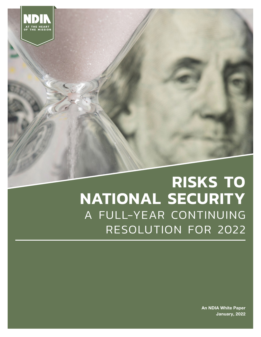

# **RISKS TO NATIONAL SECURITY**  A FULL-YEAR CONTINUING RESOLUTION FOR 2022

An NDIA White Paper January, 2022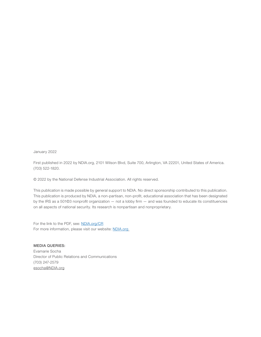January 2022

First published in 2022 by NDIA.org, 2101 Wilson Blvd, Suite 700, Arlington, VA 22201, United States of America. (703) 522-1820.

© 2022 by the National Defense Industrial Association. All rights reserved.

This publication is made possible by general support to NDIA. No direct sponsorship contributed to this publication. This publication is produced by NDIA, a non-partisan, non-profit, educational association that has been designated by the IRS as a 501©3 nonprofit organization — not a lobby firm — and was founded to educate its constituencies on all aspects of national security. Its research is nonpartisan and nonproprietary.

For the link to the PDF, see: [NDIA.org/](https://www.ndia.org/policy)CR For more information, please visit our website: [NDIA.org](http://www.NDIA.org)

MEDIA QUERIES: Evamarie Socha Director of Public Relations and Communications (703) 247-2579 [esocha@NDIA.org](mailto:esocha@NDIA.org)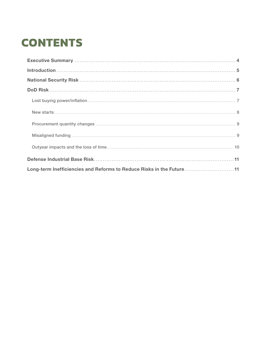# **CONTENTS**

| Long-term Inefficiencies and Reforms to Reduce Risks in the Future 11 |  |  |  |  |  |
|-----------------------------------------------------------------------|--|--|--|--|--|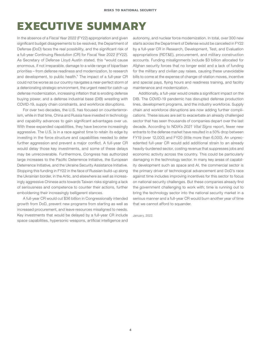## <span id="page-3-0"></span>**EXECUTIVE SUMMARY**

In the absence of a Fiscal Year 2022 (FY22) appropriation and given significant budget disagreements to be resolved, the Department of Defense (DoD) faces the real possibility, and the significant risk of a full-year Continuing Resolution (CR) for Fiscal Year 2022 (FY22). As Secretary of Defense Lloyd Austin stated, this "would cause enormous, if not irreparable, damage to a wide range of bipartisan priorities – from defense readiness and modernization, to research and development, to public health." The impact of a full-year CR could not be worse as our country navigates a near-perfect storm of a deteriorating strategic environment, the urgent need for catch-up defense modernization, increasing inflation that is eroding defense buying power, and a defense industrial base (DIB) wrestling with COVID-19, supply chain constraints, and workforce disruptions.

For over two decades, the U.S. has focused on counterterrorism, while in that time, China and Russia have invested in technology and capability advances to gain significant advantages over us. With these expanded capabilities, they have become increasingly aggressive. The U.S. is in a race against time to retain its edge by investing in the force structure and capabilities needed to deter further aggression and prevent a major conflict. A full-year CR would delay those key investments, and some of these delays may be unrecoverable. Furthermore, Congress has authorized large increases to the Pacific Deterrence Initiative, the European Deterrence Initiative, and the Ukraine Security Assistance Initiative. Stopping this funding in FY22 in the face of Russian build-up along the Ukrainian border, in the Artic, and elsewhere as well as increasingly aggressive Chinese acts towards Taiwan risks signaling a lack of seriousness and competence to counter their actions, further emboldening their increasingly belligerent stances.

A full-year CR would cut \$36 billion in Congressionally intended growth from DoD, prevent new programs from starting as well as increased procurement, and leave resources misaligned to needs. Key investments that would be delayed by a full-year CR include space capabilities, hypersonic weapons, artificial intelligence and

autonomy, and nuclear force modernization. In total, over 300 new starts across the Department of Defense would be cancelled in FY22 by a full-year CR in Research, Development, Test, and Evaluation appropriations (RDT&E), procurement, and military construction accounts. Funding misalignments include \$3 billion allocated for Afghan security forces that no longer exist and a lack of funding for the military and civilian pay raises, causing these unavoidable bills to come at the expense of change-of-station moves, incentive and special pays, flying hours and readiness training, and facility maintenance and modernization.

Additionally, a full-year would create a significant impact on the DIB. The COVID-19 pandemic has disrupted defense production lines, development programs, and the industry workforce. Supply chain and workforce disruptions are now adding further complications. These issues are set to exacerbate an already challenged sector that has seen thousands of companies depart over the last decade. According to NDIA's *2021 Vital Signs* report, fewer new entrants to the defense market have resulted in a 50% drop between FY19 (over 12,000) and FY20 (little more than 6,000). An unprecedented full-year CR would add additional strain to an already heavily-burdened sector, costing revenue that suppresses jobs and economic activity across the country. This could be particularly damaging in the technology sector. In many key areas of capability development such as space and AI, the commercial sector is the primary driver of technological advancement and DoD's race against time includes improving incentives for this sector to focus on national security challenges. But these companies already find the government challenging to work with; time is running out to bring the technology sector into the national security market in a serious manner and a full-year CR would burn another year of time that we cannot afford to squander.

January, 2022.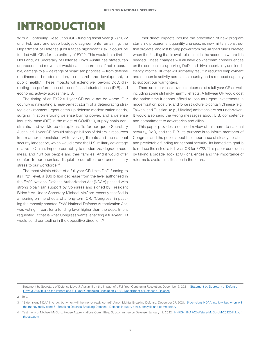## <span id="page-4-0"></span>**INTRODUCTION**

With a Continuing Resolution (CR) funding fiscal year (FY) 2022 until February and deep budget disagreements remaining, the Department of Defense (DoD) faces significant risk it could be funded with CRs for the entirety of FY22. This would be a first for DoD and, as Secretary of Defense Lloyd Austin has stated, "an unprecedented move that would cause enormous, if not irreparable, damage to a wide range of bipartisan priorities — from defense readiness and modernization, to research and development, to public health."<sup>1</sup> These impacts will extend well beyond DoD, disrupting the performance of the defense industrial base (DIB) and economic activity across the U.S.

The timing of an FY22 full-year CR could not be worse. Our country is navigating a near-perfect storm of a deteriorating strategic environment urgent catch-up defense modernization needs, surging inflation eroding defense buying power, and a defense industrial base (DIB) in the midst of COVID-19, supply chain constraints, and workforce disruptions. To further quote Secretary Austin, a full-year CR "would misalign billions of dollars in resources in a manner inconsistent with evolving threats and the national security landscape, which would erode the U.S. military advantage relative to China, impede our ability to modernize, degrade readiness, and hurt our people and their families. And it would offer comfort to our enemies, disquiet to our allies, and unnecessary stress to our workforce."2

The most visible effect of a full-year CR limits DoD funding to its FY21 level, a \$36 billion decrease from the level authorized in the FY22 National Defense Authorization Act (NDAA) passed with strong bipartisan support by Congress and signed by President Biden.3 As Under Secretary Michael McCord recently testified in a hearing on the effects of a long-term CR, "Congress, in passing the recently enacted FY22 National Defense Authorization Act, was voting in part for a funding level higher than the department requested. If that is what Congress wants, enacting a full-year CR would send our topline in the oppositive direction."4

Other direct impacts include the prevention of new program starts, no procurement quantity changes, no new military construction projects, and lost buying power from mis-aligned funds created when the funding that is available is not in the accounts where it is needed. These changes will all have downstream consequences on the companies supporting DoD, and drive uncertainty and inefficiency into the DIB that will ultimately result in reduced employment and economic activity across the country and a reduced capacity to support our warfighters.

There are other less obvious outcomes of a full-year CR as well, including some strikingly harmful effects. A full-year CR would cost the nation time it cannot afford to lose as urgent investments in modernization, posture, and force structure to contain Chinese (e.g., Taiwan) and Russian (e.g., Ukraine) ambitions are not undertaken. It would also send the wrong messages about U.S. competence and commitment to adversaries and allies.

This paper provides a detailed review of this harm to national security, DoD, and the DIB. Its purpose is to inform members of Congress and the public about the importance of steady, reliable, and predictable funding for national security. Its immediate goal is to reduce the risk of a full-year CR for FY22. This paper concludes by taking a broader look at CR challenges and the importance of reforms to avoid this situation in the future.

<sup>1</sup> [Statement by Secretary of Defense](https://www.defense.gov/News/Releases/Release/Article/2862641/statement-by-secretary-of-defense-lloyd-j-austin-iii-on-the-impact-of-a-full-ye/source/GovDelivery/) Lloyd J. Austin III on the Impact of a Full-Year Continuing Resolution, December 6, 2021. Statement by Secretary of Defense [Lloyd J. Austin III on the Impact of a Full-Year Continuing Resolution > U.S. Department of Defense > Release](https://www.defense.gov/News/Releases/Release/Article/2862641/statement-by-secretary-of-defense-lloyd-j-austin-iii-on-the-impact-of-a-full-ye/source/GovDelivery/)

<sup>2</sup> Ibid.

<sup>3</sup> "Biden signs NDAA into law, but when will the money really come?" Aaron Mehta, Breaking Defense, December 27, 2021. [Biden signs NDAA into law, but when will](https://breakingdefense.com/2021/12/biden-signs-ndaa-into-law-but-when-will-the-money-really-come/)  [the money really come? - Breaking Defense Breaking Defense - Defense industry news, analysis and commentary](https://breakingdefense.com/2021/12/biden-signs-ndaa-into-law-but-when-will-the-money-really-come/)

<sup>4</sup> Testimony of Michael McCord, House Appropriations Committee, Subcommittee on Defense, January 12, 2022. [HHRG-117-AP02-Wstate-McCordM-20220112.pdf](https://docs.house.gov/meetings/AP/AP02/20220112/114316/HHRG-117-AP02-Wstate-McCordM-20220112.pdf)  [\(house.gov\)](https://docs.house.gov/meetings/AP/AP02/20220112/114316/HHRG-117-AP02-Wstate-McCordM-20220112.pdf)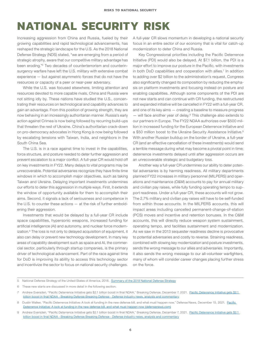## <span id="page-5-0"></span>**NATIONAL SECURITY RISK**

Increasing aggression from China and Russia, fueled by their growing capabilities and rapid technological advancements, has reshaped the strategic landscape for the U.S. As the 2018 National Defense Strategy (NDS) stated, "we are emerging from a period of strategic atrophy, aware that our competitive military advantage has been eroding."<sup>5</sup> Two decades of counterterrorism and counterinsurgency warfare have left the U.S. military with extensive combat experience — but against asymmetric forces that do not have the resources or capacity of a peer or near-peer adversary.

While the U.S. was focused elsewhere, limiting attention and resources devoted to more capable rivals, China and Russia were not sitting idly by. These nations have studied the U.S., concentrating their resources on technological and capability advances to gain an advantage. From this position of growing strength, they are now behaving in an increasingly authoritarian manner. Russia's early action against Crimea is now being followed by recurring build-ups that threaten the rest of Ukraine. China's authoritarian crack-down on pro-democracy advocates in Hong Kong is now being followed by escalating tensions with Taiwan, India, and neighbors in the South China Sea.

The U.S. is in a race against time to invest in the capabilities, force structure, and posture needed to deter further aggression and prevent escalation to a major conflict. A full-year CR would hold off on key investments in FY22. Many delays to vital programs may be unrecoverable. Potential adversaries recognize they have finite time windows in which to accomplish major objectives, such as taking Taiwan and Ukraine. Delaying important investments undermines our efforts to deter this aggression in multiple ways. First, it extends the window of opportunity available for them to accomplish their aims. Second, it signals a lack of seriousness and competence in the U.S. to counter these actions — at the risk of further emboldening their aggression.

Investments that would be delayed by a full-year CR include space capabilities, hypersonic weapons, increased funding for artificial intelligence (AI) and autonomy, and nuclear force modernization.<sup>6</sup> The loss is not only to delayed acquisition of equipment, it also can delay or prevent new technology development. In many key areas of capability development such as space and AI, the commercial sector, particularly through startup companies, is the primary driver of technological advancement. Part of the race against time for DoD is improving its ability to access this technology sector and incentivize the sector to focus on national security challenges.

A full-year CR slows momentum in developing a national security focus in an entire sector of our economy that is vital for catch-up modernization to deter China and Russia.

Key Congressional priorities including the Pacific Deterrence Initiative (PDI) would also be delayed. At \$7.1 billion, the PDI is a major effort to improve our posture in the Pacific, with investments in both DoD capabilities and cooperation with allies.<sup>7</sup> In addition to adding over \$2 billion to the administration's request, Congress also significantly changed its composition by reducing the emphasis on platform investments and focusing instead on posture and enabling capabilities. Although some components of the PDI are not new starts and can continue with CR funding, the restructured and expanded initiative will be cancelled in FY22 with a full-year CR, and one of its key aims — creating a baseline to measure progress  $-$  will face another year of delay.<sup>8</sup> This challenge also extends to our partners in Europe. The FY22 NDAA authorizes over \$500 million in increased funding for the European Deterrence Initiative and a \$50 million boost to the Ukraine Security Assistance Initiative.<sup>9</sup> With another Russian buildup on the border of Ukraine, a full-year CR (and an effective cancellation of these investments) would send a terrible message during what may become a pivotal point in time; deterrence investments delayed until after aggression occurs are an unrecoverable strategic and budgetary loss.

Another way a full-year CR undermines our ability to deter potential adversaries is by harming readiness. All military departments planned FY22 increases in military personnel (MILPERS) and operations and maintenance (O&M) accounts to pay for annual military and civilian pay raises, while fully funding operating tempo to support readiness. Under a full-year CR, these accounts will not grow. The 2.7% military and civilian pay raises will have to be self-funded from within those accounts. In the MILPERS accounts, this will impact areas including cancelled permanent-change-of-station (PCS) moves and incentive and retention bonuses. In the O&M accounts, this will directly reduce weapon system sustainment, operating tempo, and facilities sustainment and modernization. As we saw in the 2013 sequester readiness decline is provocative to potential adversaries and costly to reverse. Straining readiness, combined with slowing key modernization and posture investments, sends the wrong message to our allies and adversaries. Importantly, it also sends the wrong message to our all-volunteer warfighters, many of whom will consider career changes placing further stress on the force.

<sup>5</sup> National Defense Strategy of the United States of America, 2018. [Summary of the 2018 National Defense Strategy](https://dod.defense.gov/Portals/1/Documents/pubs/2018-National-Defense-Strategy-Summary.pdf)

<sup>6</sup> These new starts are discussed in more detail in the following section.

<sup>7</sup> Andrew Eversden, "[Pacific Deterrence Initiative gets \\$2.1](https://breakingdefense.com/2021/12/pacific-deterrence-initiative-gets-2-1-billion-boost-in-final-ndaa/) billion boost in final NDAA," Breaking Defense, December 7, 2021. Pacific Deterrence Initiative gets \$2.1 [billion boost in final NDAA - Breaking Defense Breaking Defense - Defense industry news, analysis and commentary](https://breakingdefense.com/2021/12/pacific-deterrence-initiative-gets-2-1-billion-boost-in-final-ndaa/)

<sup>8</sup> Dustin Walker, "Pacific Deterrence Initiative: A look at funding in the new defense bill, and what must happen now," Defense News, December 15, 2021. [Pacific](https://www.defensenews.com/opinion/commentary/2021/12/15/pacific-deterrence-initiative-a-look-at-funding-in-the-new-defense-bill-and-what-must-happen-now/)  [Deterrence Initiative: A look at funding in the new defense bill, and what must happen now \(defensenews.com\)](https://www.defensenews.com/opinion/commentary/2021/12/15/pacific-deterrence-initiative-a-look-at-funding-in-the-new-defense-bill-and-what-must-happen-now/)

<sup>9</sup> Andrew Eversden, "[Pacific Deterrence Initiative gets \\$2.1](https://breakingdefense.com/2021/12/pacific-deterrence-initiative-gets-2-1-billion-boost-in-final-ndaa/) billion boost in final NDAA," Breaking Defense, December 7, 2021. Pacific Deterrence Initiative gets \$2.1 [billion boost in final NDAA - Breaking Defense Breaking Defense - Defense industry news, analysis and commentary](https://breakingdefense.com/2021/12/pacific-deterrence-initiative-gets-2-1-billion-boost-in-final-ndaa/)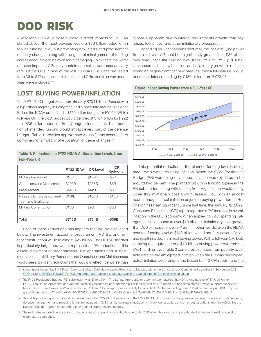## <span id="page-6-0"></span>**DOD RISK**

A year-long CR would pose numerous direct impacts to DoD. As stated above, the most obvious would a \$36 billion reduction in topline funding level, but preventing new starts and procurement quantity changes along with the general misalignment of funding across accounts can be even more damaging. To mitigate the worst of these impacts, CRs may contain anomalies but these are very rare. Of the CRs in nine of the last 10 years, DoD has requested from 36 to 347 anomalies. In the enacted CRs, one to seven anomalies were included.10

### LOST BUYING POWER/INFLATION

The FY21 DoD budget was approximately \$704 billion. Passed with a bipartisan majority in Congress and signed into law by President Biden, the NDAA authorized a \$740 billion budget for FY22.11 With a full-year CR, the DoD budget would be fixed at \$704 billion for FY22 — a \$36 billion reduction from Congressional intent. This reduction of intended funding would impact every part of the defense budget. Table 1 provides approximate values (some accounts are combined for simplicity of exposition) of these changes.<sup>12</sup>

#### Table 1: Reductions to FY22 NDAA Authorization Levels from Full-Year CR

|                                                | <b>FY22 NDAA</b> | <b>CR Level</b> | <b>CR</b><br>Reduction |
|------------------------------------------------|------------------|-----------------|------------------------|
| Military Personnel                             | \$167B           | \$162B          | $-$ \$5 $B$            |
| Operations and Maintenance                     | \$293B           | \$285B          | $ $8B$                 |
| Procurement                                    | \$148B           | \$142B          | $ $6B$                 |
| Research, Development,<br>Test, and Evaluation | \$119B           | \$106B          | $-$ \$13 $B$           |
| <b>Military Construction</b>                   | \$13B            | \$9B            | $-$ \$5 $B$            |
|                                                |                  |                 |                        |
| Total                                          | \$740B           | \$704B          | $-$ \$36B              |

Each of these reductions has impacts that will be discussed below. The investment accounts (procurement, RDT&E, and military construction) will lose almost \$25 billion. The RDT&E shortfall is particularly large, and would represent a 10% reduction in this essential element of modernization. The operations and sustainment accounts (Military Personnel and Operations and Maintenance) would see significant reductions that would in effect, be worse than

is readily apparent due to internal requirements growth from pay raises, fuel prices, and other inflationary pressures.

Depending on what happens next year, the loss of buying power from a full-year CR could be significantly greater than \$36 billion over time. If the flat funding level from FY21 to FY22 (\$704 billion) becomes the new baseline, and inflationary growth in defense spending begins from that new baseline, then a full-year CR would decrease defense funding by \$180 billion from FY22-26.

#### Figure 1: Lost Buying Power from a Full-Year CR



This potential reduction in the planned funding level is being made even worse by rising inflation. When the FY22 President's Budget (PB) was being developed, inflation was expected to be around two percent. The planned growth in funding topline in the PB submission, along with offsets from Afghanistan would nearly cover this inflationary cost growth, leaving DoD with an almost neutral budget in real (inflation adjusted) buying power terms. But inflation has risen significantly since that time; the January 12, 2022, Consumer Price Index (CPI) report reported a 7% increase in overall inflation in the U.S. economy. When applied to DoD spending categories, this amounts to over \$40 billion in inflationary cost growth that DoD will experience in FY22.13 In other words, even the NDAA enacted funding level of \$740 billion would not fully cover inflation and result in a decline in real buying power. With a full-year CR, DoD is taking the equivalent of a \$40 billion buying power cut from the FY21 funding level. Table 2 compares estimates from publicly available data on the anticipated inflation when the PB was developed, actual inflation according to the December 10 CPI report, and the

10 Government Accountability Office, "Defense Budget: DoD Has Adopted Practices to Manage within the Constraints of Continuing Resolutions," September 2021. GAO-21-541, DEFENSE BUDGET: DOD Has Adopted Practices to Manage within the Constraints of Continuing Re

11 The FY22 President's Budget (PB) submission was \$715 billion. The Senate Appropriations Committee matched the NDAA funding level of \$740 billion for FY22. The House Appropriations Committee initially passed an appropriation bill at the PB level of \$715 billion but has since stated it would support the NDAA funding level. See Alexander Ward and Connor O'Brien, "House appropriations likely to back \$25B Pentagon funding boost," Politico, January 4, 2021. https:// go.politicoemail.com/?qs=5bde7f0af36a1759221db2636827fc021ca2a8db6bebfbbd17ae95eff487c202135c99f21fd13b8d9cd24e7ef9df99c5

12 This table provides approximate values derived from the FY22 PB submission and the FY22 NDAA. For simplicity of exposition, some accounts are combined, e.g., defense management and revolving funds are included in O&M, family housing is included in military construction, and other authorizations from the NDAA like the Defense Health Program are added to their general appropriation category.

13 The estimates reported here are approximations based on publicly-reported budget data. DoD would be able to compute detailed estimates based on specific expenditure categories.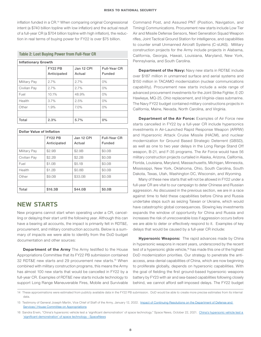<span id="page-7-0"></span>inflation funded in a CR.14 When comparing original Congressional intent (a \$740 billion topline with low inflation) and the actual result of a full-year CR (a \$704 billion topline with high inflation), the reduction in real terms of buying power for FY22 is over \$75 billion.

#### Table 2: Lost Buying Power from Full-Year CR

| <b>Inflationary Growth</b> |                               |                      |                               |  |  |  |
|----------------------------|-------------------------------|----------------------|-------------------------------|--|--|--|
|                            | <b>FY22 PB</b><br>Anticipated | Jan 12 CPI<br>Actual | Full-Year CR<br><b>Funded</b> |  |  |  |
| Military Pay               | 2.7%                          | 2.7%                 | 0%                            |  |  |  |
| Civilian Pay               | 2.7%                          | 2.7%                 | 0%                            |  |  |  |
| Fuel                       | 10.1%                         | 48.9%                | 0%                            |  |  |  |
| Health                     | 3.7%                          | 2.5%                 | 0%                            |  |  |  |
| Other                      | 1.9%                          | 7.0%                 | 0%                            |  |  |  |
|                            |                               |                      |                               |  |  |  |
| Total                      | 2.3%                          | 5.7%                 | 0%                            |  |  |  |

| <b>Dollar Value of Inflation</b> |                |            |               |  |  |  |
|----------------------------------|----------------|------------|---------------|--|--|--|
|                                  | <b>FY22 PB</b> | Jan 12 CPI | Full-Year CR  |  |  |  |
|                                  | Anticipated    | Actual     | <b>Funded</b> |  |  |  |
| <b>Military Pay</b>              | \$2.9B         | \$2.9B     | \$0.0B        |  |  |  |
| Civilian Pay                     | \$2.2B         | \$2.2B     | \$0.0B        |  |  |  |
| Fuel                             | \$1.0B         | \$5.1B     | \$0.0B        |  |  |  |
| Health                           | \$1.2B         | \$0.8B     | \$0.0B        |  |  |  |
| Other                            | \$9.0B         | \$33.0B    | \$0.0B        |  |  |  |
|                                  |                |            |               |  |  |  |
| Total                            | \$16.3B        | \$44.0B    | \$0.0B        |  |  |  |

### NEW STARTS

New programs cannot start when operating under a CR, cancelling or delaying their start until the following year. Although this can have a bearing all accounts, the impact is primarily felt in RDT&E, procurement, and military construction accounts. Below is a summary of impacts we were able to identify from the DoD budget documentation and other sources:

**Department of the Army** The Army testified to the House Appropriations Committee that its FY22 PB submission contained 32 RDT&E new starts and 29 procurement new starts.15 When combined with military construction programs, this means the Army has almost 100 new starts that would be cancelled in FY22 by a full-year CR. Examples of RDT&E new starts include technology to support Long Range Maneuverable Fires, Mobile and Survivable

Command Post, and Assured PNT (Position, Navigation, and Timing) Communications. Procurement new starts include Low Tier Air and Missile Defense Sensors, Next Generation Squad Weapon rifles, Joint Tactical Ground Station for intelligence, and capabilities to counter small Unmanned Aircraft Systems (C-sUAS). Military construction projects for the Army include projects in Alabama, California, Georgia, Hawaii, Louisiana, Maryland, New York, Pennsylvania, and South Carolina.

**Department of the Navy: Navy new starts in RDT&E include** over \$187 million in unmanned surface and aerial systems and \$150 million in TACAMO modernization (nuclear communications capability). Procurement new starts include a wide range of advanced procurement investments for the Joint Strike Fighter, E-2D Hawkeye, MQ-25, *Ohio* replacement, and *Virginia*-class submarine. The Navy FY22 budget contained military constructions projects in California, Maine, Nevada, North Carolina, and Virginia.

Department of the Air Force: Examples of Air Force new starts cancelled in FY22 by a full-year CR include hypersonics investments in Air-Launched Rapid Response Weapon (ARRW) and Hypersonic Attack Cruise Missile (HACM), and nuclear modernization for Ground Based Strategic Deterrent (GBSD), as well as one to two year delays in the Long Range Stand Off weapon, B-21, and F-35 programs. The Air Force would have 56 military construction projects curtailed in Alaska, Arizona, California, Florida, Louisiana, Maryland, Massachusetts, Michigan, Minnesota, Mississippi, New York, Oklahoma, Ohio, South Carolina, South Dakota, Texas, Utah, Washington DC, Wisconsin, and Wyoming.

Many of these new starts that will not be allowed in FY22 under a full-year CR are vital to our campaign to deter Chinese and Russian aggression. As discussed in the previous section, we are in a race against time to field these capabilities before China and Russia undertake steps such as seizing Taiwan or Ukraine, which would have catastrophic global consequences. Slowing key investments expands the window of opportunity for China and Russia and increases the risk of unrecoverable loss if aggression occurs before we are able to deter or effectively respond to it. Examples of key delays that would be caused by a full-year CR include:

Hypersonic Weapons: The rapid advances made by China in hypersonic weapons in recent years, underscored by the recent test of a hypersonic glide vehicle,<sup>16</sup> has made this one of the highest DoD modernization priorities. Our strategy to penetrate the antiaccess, area-denial capabilities of China, which are now beginning to proliferate globally, depends on hypersonic capabilities. With the goal of fielding the first ground-based hypersonic weapons battery by FY23 with air and sea-based capabilities following closely behind, we cannot afford self-imposed delays. The FY22 budget

<sup>14</sup> These approximations were estimated from publicly available data in the FY22 PB submission. DoD would be able to create more precise estimates from its internal data.

<sup>15</sup> Testimony of General Joseph Martin, Vice Chief of Staff of the Army, January 12, 2022. [Impact of Continuing Resolutions on the Department of Defense and](https://appropriations.house.gov/events/hearings/impact-of-continuing-resolutions-on-the-department-of-defense-and-services)  [Services | House Committee on Appropriations](https://appropriations.house.gov/events/hearings/impact-of-continuing-resolutions-on-the-department-of-defense-and-services)

<sup>16</sup> Sandra Erwin, "[China's hypersonic vehicle test a](https://spacenews.com/chinas-hypersonic-vehicle-test-a-significant-demonstration-of-space-technology/) 'significant demonstration' of space technology." Space News, October 22, 2021. China's hypersonic vehicle test a ['significant demonstration' of space technology - SpaceNews](https://spacenews.com/chinas-hypersonic-vehicle-test-a-significant-demonstration-of-space-technology/)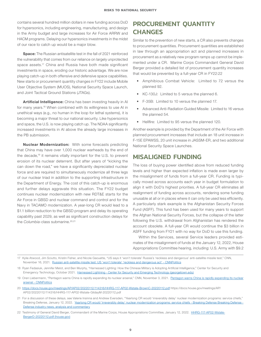<span id="page-8-0"></span>contains several hundred million dollars in new funding across DoD for hypersonics, including engineering, manufacturing, and design in the Army budget and large increases for Air Force ARRW and HACM programs. Delaying our hypersonics investments in the midst of our race to catch up would be a major blow.

Space: The Russian antisatellite test in the fall of 2021 reinforced the vulnerability that comes from our reliance on largely unprotected space assets.<sup>17</sup> China and Russia have both made significant investments in space, eroding our historic advantage. We are now playing catch-up in both offensive and defensive space capabilities. New starts or procurement quantity changes in FY22 include Mobile User Objective System (MUOS), National Security Space Launch, and Joint Tactical Ground Stations (JTAGs).

Artificial Intelligence: China has been investing heavily in Al for many years.<sup>18</sup> When combined with its willingness to use AI in unethical ways (e.g., no human in the loop for lethal systems), it is becoming a major threat to our national security. Like hypersonics and space, the U.S. is now playing catch up. The NDAA significantly increased investments in AI above the already large increases in the PB submission.

Nuclear Modernization: With some forecasts predicting that China may have over 1,000 nuclear warheads by the end of the decade,<sup>19</sup> it remains vitally important for the U.S. to prevent erosion of its nuclear deterrent. But after years of "kicking the can down the road," we have a significantly depreciated nuclear force and are required to simultaneously modernize all three legs of our nuclear triad in addition to the supporting infrastructure in the Department of Energy. The cost of this catch-up is enormous and further delays aggravate this situation. The FY22 budget continues nuclear modernization with new RDT&E starts for the Air Force in GBSD and nuclear command and control and for the Navy in TACAMO modernization. A year-long CR would lead to a \$1.1 billion reduction to the GBSD program and delay its operating capability past 2029, as well as significant construction delays for the *Columbia*-class submarine.<sup>20,21</sup>

### PROCUREMENT QUANTITY **CHANGES**

Similar to the prevention of new starts, a CR also prevents changes to procurement quantities. Procurement quantities are established in law through an appropriation act and planned increases in procurement as a relatively new program ramps up cannot be implemented under a CR. Marine Corps Commandant General David Berger provided a detailed list of procurement quantity increases that would be prevented by a full-year CR in FY22:22

- Amphibious Combat Vehicle: Limited to 72 versus the planned 92.
- KC-130J: Limited to 5 versus the planned 6.
- F-35B: Limited to 10 versus the planned 17.
- Advanced Anti-Radiation Guided Missile: Limited to 16 versus the planned 54.
- Hellfire: Limited to 95 versus the planned 120.

Another example is provided by the Department of the Air Force with planned procurement increases that include an 18 unit increase in F-15E EPAWSS, 20 unit increase in JASSM-ER, and two additional National Security Space Launches.

### MISALIGNED FUNDING

The loss of buying power identified above from reduced funding levels and higher than expected inflation is made even larger by the misalignment of funds from a full-year CR. Funding is typically moved across accounts each year in budget formulation to align it with DoD's highest priorities. A full-year CR eliminates all realignment of funding across accounts, rendering some funding unusable at all or in places where it can only be used less efficiently. A particularly stark example is the Afghanistan Security Forces Fund (ASFF). This fund has been used for many years to support the Afghan National Security Forces, but the collapse of the latter following the U.S. withdrawal from Afghanistan has rendered the account obsolete. A full-year CR would continue the \$3 billion in ASFF funding from FY21 with no way for DoD to use this funding.

Within the Services, several Service leaders provided estimates of the misalignment of funds at the January 12, 2022, House Appropriations Committee hearing, including: U.S. Army with \$9.2

<sup>17</sup> Kylie Atwood, Jim Sciutto, Kristin Fisher, and Nicole Gaouette, "US says it 'won't tolerate' Russia's 'reckless and dangerous' anti-satellite missile test," CNN, November 16, 2021. [Russian anti-satellite missile test: US 'won't tolerate' 'reckless and dangerous act' - CNNPolitics](https://www.cnn.com/2021/11/15/politics/russia-anti-satellite-weapon-test-scn/index.html)

<sup>18</sup> Ryan Fedasiuk, Jennifer Melot, and Ben Murphy, "Harnessed Lighting: How the Chinese Military is Adopting Artificial Intelligence," Center for Security and Emergency Technology, October 2021. [Harnessed Lightning - Center for Security and Emerging Technology \(georgetown.edu\)](https://cset.georgetown.edu/publication/harnessed-lightning/)

<sup>19</sup> Oren Liebermann, "[Pentagon warns China is rapidly expanding its nuclear](https://www.cnn.com/2021/11/03/politics/pentagon-china-report/index.html) arsenal," CNN, November 3, 2021. Pentagon warns China is rapidly expanding its nuclear [arsenal - CNNPolitics](https://www.cnn.com/2021/11/03/politics/pentagon-china-report/index.html)

<sup>20</sup> <https://docs.house.gov/meetings/AP/AP02/20220112/114316/HHRG-117-AP02-Wstate-BrownC-20220112.pdf>https://docs.house.gov/meetings/AP/ AP02/20220112/114316/HHRG-117-AP02-Wstate-GildayM-20220112.pdf

<sup>21</sup> For a discussion of these delays, see Valerie Insinna and Andrew Eversden, "Yearlong CR would 'irreversibly delay' nuclear modernization programs: service chiefs," Breaking Defense, January 12, 2022. Yearlong CR would 'irreversibly delay' nuclear modernization programs: service chiefs - Breaking Defense Breaking Defense -[Defense industry news, analysis and commentary](https://breakingdefense.com/2022/01/yearlong-cr-would-irreversibly-delay-nuclear-modernization-programs-service-chiefs/?utm_campaign=Breaking%20Defense%20Air%20&utm_medium=email&_hsmi=200885328&_hsenc=p2ANqtz-8tcyG-rLzN4YBqUX_Bg0Az6PwzzU11qZTKoqLxWJYaZkX6vmci8LSTqV6M52Iip1d3F3ZACuZFTCPQi6ua0ilszcD66Q&utm_content=200885328&utm_source=hs_email)

<sup>22</sup> Testimony of General David Berger, Commandant of the Marine Corps, House Appropriations Committee, January 12, 2022. [HHRG-117-AP02-Wstate-](https://docs.house.gov/meetings/AP/AP02/20220112/114316/HHRG-117-AP02-Wstate-BergerD-20220112.pdf)[BergerD-20220112.pdf \(house.gov\)](https://docs.house.gov/meetings/AP/AP02/20220112/114316/HHRG-117-AP02-Wstate-BergerD-20220112.pdf)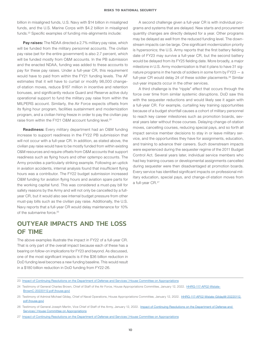<span id="page-9-0"></span>billion in misaligned funds, U.S. Navy with \$14 billion in misaligned funds, and the U.S. Marine Corps with \$4.2 billion in misaligned funds.23 Specific examples of funding mis-alignments include:

**Pay raises:** The NDAA directed a 2.7% military pay raise, which will be funded from the military personnel accounts. The civilian pay raise (set for the entire government) is also 2.7 percent, which will be funded mostly from O&M accounts. In the PB submission and the enacted NDAA, funding was added to these accounts to pay for these pay raises. Under a full-year CR, this requirement would have to paid from within the FY21 funding levels. The AF estimates that it will have to curtail or modify 98,000 changeof-station moves, reduce \$167 million in incentive and retention bonuses, and significantly reduce Guard and Reserve active duty operational support to fund the military pay raise from within the MILPERS account. Similarly, the Air Force expects offsets from its flying hour program, facilities sustainment and modernization program, and a civilian hiring freeze in order to pay the civilian pay raise from within the FY21 O&M account funding level.<sup>24</sup>

Readiness: Every military department had an O&M funding increase to support readiness in the FY22 PB submission that will not occur with a full-year CR. In addition, as stated above, the civilian pay raise would have to be mostly funded from within existing O&M resources and require offsets from O&M accounts that support readiness such as flying hours and other optempo accounts. The Army provides a particularly striking example. Following an uptick in aviation accidents, internal analysis found that insufficient flying hours was a contributor. The FY22 budget submission increased O&M funding for aviation flying hours and aviation spare parts for the working capital fund. This was considered a must-pay bill for safety reasons by the Army and will not only be cancelled by a fullyear CR, but it would also see internal budget pressure from other must-pay bills such as the civilian pay raise. Additionally, the U.S. Navy reports that a full-year CR would delay maintenance for 10% of the submarine force.<sup>25</sup>

### OUTYEAR IMPACTS AND THE LOSS OF TIME

The above examples illustrate the impact in FY22 of a full-year CR. That is only part of the overall impact because each of these has a bearing on follow-on implications for FY23 and beyond. As discussed, one of the most significant impacts is if the \$36 billion reduction in DoD funding level becomes a new funding baseline. This would result in a \$180 billion reduction in DoD funding from FY22-26.

A second challenge given a full-year CR is with individual programs and systems that are delayed. New starts and procurement quantity changes are directly delayed for a year. Other programs may be delayed as well from the reduced funding level. The downstream impacts can be large. One significant modernization priority is hypersonics; the U.S. Army reports that the first battery fielding date of FY23 may survive a full-year CR, but the second battery would be delayed from its FY25 fielding date. More broadly, a major milestone in U.S. Army modernization is that it plans to have 31 signature programs in the hands of soldiers in some form by FY23 — a full-year CR would delay 24 of these soldier placements.<sup>26</sup> Similar out-year impacts occur in the other services.

A third challenge is the "ripple" effect that occurs through the force over time from similar systemic disruptions. DoD saw this with the sequester reductions and would likely see it again with a full-year CR. For example, curtailing key training opportunities because of a budget shortfall causes a cohort of military personnel to reach key career milestones such as promotion boards, several years later without those courses. Delaying change-of-station moves, cancelling courses, reducing special pays, and so forth all impact service member decisions to stay in or leave military service, and the opportunities they have for assignments, education, and training to advance their careers. Such downstream impacts were experienced during the sequester regime of the 2011 Budget Control Act. Several years later, individual service members who had key training courses or developmental assignments cancelled during sequester were then disadvantaged at promotion boards. Every service has identified significant impacts on professional military education, special pays, and change-of-station moves from a full-year CR.<sup>27</sup>

<sup>23</sup> [Impact of Continuing Resolutions on the Department of Defense and Services | House Committee on Appropriations](https://appropriations.house.gov/events/hearings/impact-of-continuing-resolutions-on-the-department-of-defense-and-services)

<sup>24</sup> Testimony of General Charles Brown, Chief of Staff of the Air Force, House Appropriations Committee, January 12, 2022. [HHRG-117-AP02-Wstate-](https://docs.house.gov/meetings/AP/AP02/20220112/114316/HHRG-117-AP02-Wstate-BrownC-20220112.pdf)[BrownC-20220112.pdf \(house.gov\)](https://docs.house.gov/meetings/AP/AP02/20220112/114316/HHRG-117-AP02-Wstate-BrownC-20220112.pdf)

<sup>25</sup> Testimony of Admiral Michael Gilday, Chief of Naval Operations, House Appropriations Committee, January 12, 2022. [HHRG-117-AP02-Wstate-GildayM-20220112.](https://docs.house.gov/meetings/AP/AP02/20220112/114316/HHRG-117-AP02-Wstate-GildayM-20220112.pdf) [pdf \(house.gov\)](https://docs.house.gov/meetings/AP/AP02/20220112/114316/HHRG-117-AP02-Wstate-GildayM-20220112.pdf)

<sup>26</sup> Testimony of General Joseph Martin, Vice Chief of Staff of the Army, January 12, 2022. Impact of Continuing Resolutions on the Department of Defense and [Services | House Committee on Appropriations](https://appropriations.house.gov/events/hearings/impact-of-continuing-resolutions-on-the-department-of-defense-and-services)

<sup>27</sup> [Impact of Continuing Resolutions on the Department of Defense and Services | House Committee on Appropriations](https://appropriations.house.gov/events/hearings/impact-of-continuing-resolutions-on-the-department-of-defense-and-services)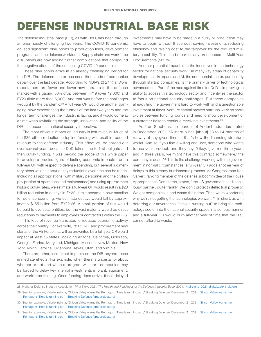## <span id="page-10-0"></span>**DEFENSE INDUSTRIAL BASE RISK**

The defense industrial base (DIB), as with DoD, has been through an enormously challenging two years. The COVID-19 pandemic caused significant disruptions to production lines, development programs, and the defense workforce. Supply chain and workforce disruptions are now adding further complications that compound the negative effects of the continuing COVID-19 pandemic.

These disruptions arrive in an already challenging period for the DIB. The defense sector has seen thousands of companies depart over the last decade. According to NDIA's *2021 Vital Signs*  report, there are fewer and fewer new entrants to the defense market with a gaping 50% drop between FY19 (over 12,000) and FY20 (little more than 6,000). And that was before the challenges wrought by the pandemic.<sup>28</sup> A full year CR would be another damaging blow exacerbating the turmoil of the last two years and the longer term challenges the industry is facing, and it would come at a time when revitalizing the strength, innovation, and agility of the DIB has become a national security imperative.

The most obvious impact on industry is lost revenue. Much of the \$36 billion reduction in topline funding will result in reduced revenue to the defense industry. This effect will be spread out over several years because DoD takes time to first obligate and then outlay funding. It was beyond the scope of this white paper to develop a precise figure of lasting economic impacts from a full-year CR with respect to defense spending, but several rudimentary observations about outlay reductions over time can be made. Including all appropriations (with military personnel and the civilian pay portion of operations and maintenance) and using approximate historic outlay rates, we estimate a full-year CR would result in a \$20 billion reduction in outlays in FY22. If this became a new baseline for defense spending, we estimate outlays would fall by approximately \$155 billion from FY22-26. A small portion of this would be paid to overseas entities, but the vast majority would be direct reductions to payments to employees or contractors within the U.S.

This loss of revenue translates to reduced economic activity across the country. For example, 78 RDT&E and procurement new starts for the Air Force that will be prevented by a full-year CR would impact at least 15 states, including Arizona, California, Colorado, Georgia, Florida, Maryland, Michigan, Missouri, New Mexico, New York, North Carolina, Oklahoma, Texas, Utah, and Virginia.

There are other, less direct impacts on the DIB beyond these immediate effects. For example, when there is uncertainty about whether or not and when a program will start, companies may be forced to delay key internal investments in plant, equipment, and workforce training. Once funding does arrive, these delayed investments may have to be made in a hurry or production may have to begin without these cost saving investments reducing efficiency and raising cost to the taxpayer for the required military capability. This can be particularly pronounced in Multi-Year Procurements (MYPs).

Another potential impact is to the incentives in the technology sector for national security work. In many key areas of capability development like space and AI, the commercial sector, particularly through startup companies, is the primary driver of technological advancement. Part of the race against time for DoD is improving its ability to access this technology sector and incentivize the sector to focus on national security challenges. But these companies already find the government hard to work with and a questionable investment at times. Venture capital backed startups work on short cycles between funding rounds and need to show development of a customer base to continue receiving investments.<sup>29</sup>

As Trae Stephens, co-founder of Anduril Industries stated in December, 2021, "A startup has [about] 18 to 24 months of runway at any given time — that's how the financing structure works. And so if you find a willing end user, someone who wants to use your product, and they say, 'Okay, give me three years and in three years, we might have this contract somewhere,' the company is dead."30 This is the challenge working with the government in normal circumstances; a full-year CR adds another year of delays to this already burdensome process. As Congressman Ken Calvert, ranking member of the defense subcommittee of the House Appropriations Committee, stated, "the US government has been a lousy partner, quite frankly. We don't protect intellectual property. We get companies in and waste their time. Then we're wondering why we're not getting the technologies we want."<sup>31</sup> In short, as with deterring our adversaries, "time is running out" to bring the technology sector into the national security space in a serious manner and a full-year CR would burn another year of time that the U.S. cannot afford to waste.

<sup>28</sup> National Defense Industry Association, *Vital Signs 2021: The Health and Readiness of the Defense Industrial Base*, 2021. [vital-signs\\_2021\\_digital.ashx \(ndia.org\)](https://content.ndia.org/-/media/vital-signs/2021/vital-signs_2021_digital.ashx)

<sup>29</sup> See, for example, Valerie Insinna, "[Silicon Valley warns the](https://breakingdefense-com.cdn.ampproject.org/c/s/breakingdefense.com/2021/12/silicon-valley-warns-the-pentagon-time-is-running-out/amp/) Pentagon: 'Time is running out'," Breaking Defense, December 21, 2021. Silicon Valley warns the [Pentagon: 'Time is running out' - Breaking Defense \(ampproject.org\)](https://breakingdefense-com.cdn.ampproject.org/c/s/breakingdefense.com/2021/12/silicon-valley-warns-the-pentagon-time-is-running-out/amp/)

<sup>30</sup> See, for example, Valerie Insinna, "Silicon Valley warns the Pentagon: 'Time is running out'," Breaking Defense, December 21, 2021. [Silicon Valley warns the](https://breakingdefense-com.cdn.ampproject.org/c/s/breakingdefense.com/2021/12/silicon-valley-warns-the-pentagon-time-is-running-out/amp/)  [Pentagon: 'Time is running out' - Breaking Defense \(ampproject.org\)](https://breakingdefense-com.cdn.ampproject.org/c/s/breakingdefense.com/2021/12/silicon-valley-warns-the-pentagon-time-is-running-out/amp/)

<sup>31</sup> See, for example, Valerie Insinna, "Silicon Valley warns the Pentagon: 'Time is running out'," Breaking Defense, December 21, 2021. [Silicon Valley warns the](https://breakingdefense-com.cdn.ampproject.org/c/s/breakingdefense.com/2021/12/silicon-valley-warns-the-pentagon-time-is-running-out/amp/)  [Pentagon: 'Time is running out' - Breaking Defense \(ampproject.org\)](https://breakingdefense-com.cdn.ampproject.org/c/s/breakingdefense.com/2021/12/silicon-valley-warns-the-pentagon-time-is-running-out/amp/)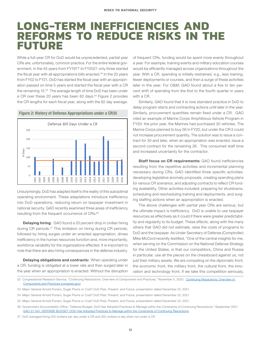### **LONG-TERM INEFFICIENCIES AND REFORMS TO REDUCE RISKS IN THE FUTURE**

While a full-year CR for DoD would be unprecedented, partial year CRs are, unfortunately, common practice. For the entire federal government, in the 45 years from FY1977 to FY2021 only three started the fiscal year with all appropriations bills enacted.<sup>32</sup> In the 20 years from FY02 to FY21, DoD has started the fiscal year with an appropriation passed on time 5 years and started the fiscal year with a CR the remaining 15.33 The average length of time DoD has been under a CR over these 20 years has been 82 days.<sup>34</sup> Figure 2 provides the CR lengths for each fiscal year, along with the 82 day average.

![](_page_11_Figure_3.jpeg)

Figure 2: History of Defense Appropriations under a CR35

Unsurprisingly, DoD has adapted itself to the reality of this suboptimal operating environment. These adaptations introduce inefficiency into DoD operations, reducing return on taxpayer investment in national security. GAO recently examined three areas of inefficiency resulting from the frequent occurrence of CRs:36

Delaying hiring: GAO found a 20 percent drop in civilian hiring during CR periods.37 This limitation on hiring during CR periods, followed by hiring surges under an enacted appropriation, drives inefficiency in the human resources function and, more importantly, workforce variability for the organizations effected. It is important to note that there are also hiring consequences in the defense industry.

Delaying obligations and contracts: When operating under a CR, funding is obligated at a lower rate and then surged later in the year when an appropriation is enacted. Without the disruption of frequent CRs, funding would be spent more evenly throughout a year. For example, training events and military education courses would be efficiently managed across organizations throughout the year. With a CR, spending is initially restrained, e.g., less training, fewer deployments or courses, and then a surge of these activities later in the year. For O&M, GAO found about a five to ten percent shift of spending from the first to the fourth quarter in years with a CR.

Similarly, GAO found that it is now standard practice in DoD to delay program starts and contracting actions until later in the year. Similarly, procurement quantities remain fixed under a CR. GAO cited an example of Marine Corps Amphibious Vehicle Program in FY20: the prior year, the Marines had purchased 30 vehicles. The Marine Corps planned to buy 56 in FY20, but under the CR it could not increase procurement quantity. The solution was to issue a contract for 30 and later, when an appropriation was enacted, issue a second contract for the remaining 26. This consumed staff time and increased uncertainty for the contractor.

Staff focus on CR requirements: GAO found inefficiencies resulting from the repetitive activities and incremental planning necessary during CRs. GAO identified three specific activities: developing legislative anomaly proposals, creating spending plans for various CR scenarios, and adjusting contracts to reflect CR funding availability. Other activities included: preparing for shutdowns, scheduling and rescheduling training and deployments, and surging staffing actions when an appropriation is enacted.

The above challenges with partial year CRs are serious, but the ultimate impact is inefficiency. DoD is unable to use taxpayer resources as effectively as it could if there were greater predictability and regularity to its budget. These effects, along with the many others that GAO did not estimate, raise the costs of programs to DoD and the taxpayer. As Under Secretary of Defense (Comptroller) Mike McCord recently testified, "One of the central insights for me, when serving on the Commission on the National Defense Strategy for the United States, is that our competitors, China and Russia in particular, use all the pieces on the chessboard against us, not just their military assets. We are competing on the diplomatic front, the economic front, the military front, the cultural front, the innovation and technology front. If we take this competition seriously,

32 Congressional Research Service, "Continuing Resolutions: Overview of Components and Practices," November 5, 2020. [Continuing Resolutions: Overview of](https://crsreports.congress.gov/product/pdf/R/R46595)  [Components and Practices \(congress.gov\)](https://crsreports.congress.gov/product/pdf/R/R46595)

37 DoD averaged hiring 200 civilians per day under a CR and 250 civilians a day when not under a CR.

<sup>33</sup> Major General Arnold Punaro, Sugar Plums or Coal? DoD Past, Present, and Future, presentation dated December 22, 2021.

<sup>34</sup> Major General Arnold Punaro, Sugar Plums or Coal? DoD Past, Present, and Future, presentation dated December 22, 2021.

<sup>35</sup> Major General Arnold Punaro, Sugar Plums or Coal? DoD Past, Present, and Future, presentation dated December 22, 2021.

<sup>36</sup> Government Accountability Office, "Defense Budget: DoD Has Adopted Practices to Manage within the Constraints of Continuing Resolutions," September 2021. [GAO-21-541, DEFENSE BUDGET: DOD Has Adopted Practices to Manage within the Constraints of Continuing Resolutions](https://www.gao.gov/assets/gao-21-541.pdf)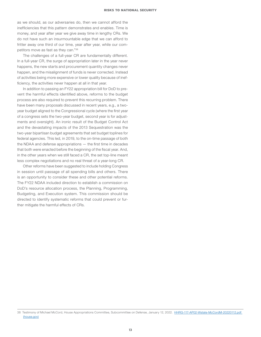as we should, as our adversaries do, then we cannot afford the inefficiencies that this pattern demonstrates and enables. Time is money, and year after year we give away time in lengthy CRs. We do not have such an insurmountable edge that we can afford to fritter away one third of our time, year after year, while our competitors move as fast as they can."38

The challenges of a full-year CR are fundamentally different. In a full-year CR, the surge of appropriation later in the year never happens, the new starts and procurement quantity changes never happen, and the misalignment of funds is never corrected. Instead of activities being more expensive or lower quality because of inefficiency, the activities never happen at all in that year.

In addition to passing an FY22 appropriation bill for DoD to prevent the harmful effects identified above, reforms to the budget process are also required to prevent this recurring problem. There have been many proposals discussed in recent years, e.g., a twoyear budget aligned to the Congressional cycle (where the first year of a congress sets the two-year budget, second year is for adjustments and oversight). An ironic result of the Budget Control Act and the devastating impacts of the 2013 Sequestration was the two-year bipartisan budget agreements that set budget toplines for federal agencies. This led, in 2019, to the on-time passage of both the NDAA and defense appropriations — the first time in decades that both were enacted before the beginning of the fiscal year. And, in the other years when we still faced a CR, the set top-line meant less complex negotiations and no real threat of a year-long CR.

Other reforms have been suggested to include holding Congress in session until passage of all spending bills and others. There is an opportunity to consider these and other potential reforms. The FY22 NDAA included direction to establish a commission on DoD's resource allocation process, the Planning, Programming, Budgeting, and Execution system. This commission should be directed to identify systematic reforms that could prevent or further mitigate the harmful effects of CRs.

<sup>38</sup> Testimony of Michael McCord, House Appropriations Committee, Subcommittee on Defense, January 12, 2022. HHRG-117-AP02-Wstate-McCordM-20220112.pdf [\(house.gov\)](https://docs.house.gov/meetings/AP/AP02/20220112/114316/HHRG-117-AP02-Wstate-McCordM-20220112.pdf)